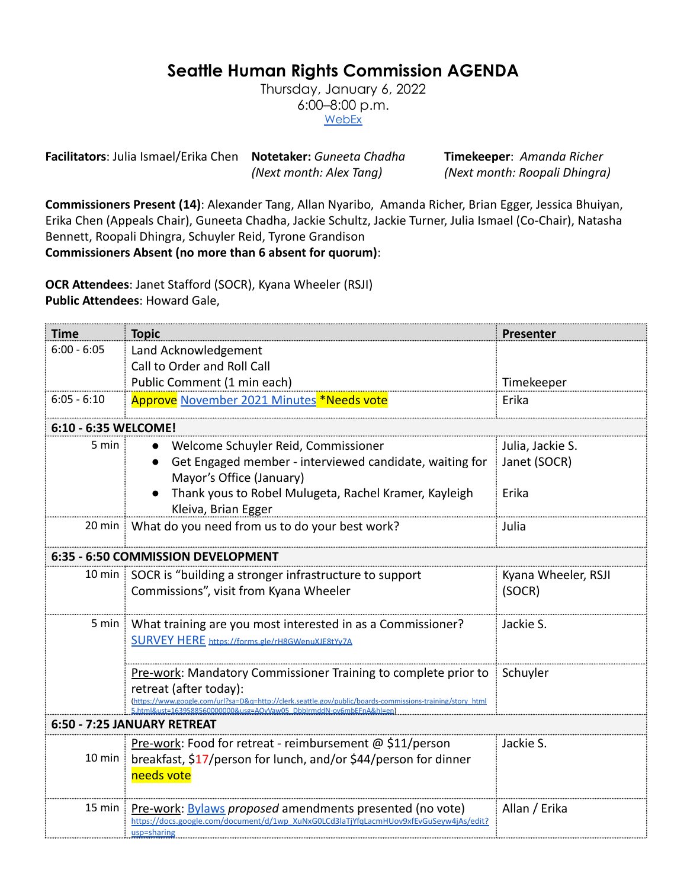## **Seattle Human Rights Commission AGENDA**

Thursday, January 6, 2022 6:00–8:00 p.m. **[WebEx](https://www.seattle.gov/humanrights/calendar)** 

**Facilitators**: Julia Ismael/Erika Chen **Notetaker:** *Guneeta Chadha* **Timekeeper**: *Amanda Richer*

*(Next month: Alex Tang) (Next month: Roopali Dhingra)*

**Commissioners Present (14)**: Alexander Tang, Allan Nyaribo, Amanda Richer, Brian Egger, Jessica Bhuiyan, Erika Chen (Appeals Chair), Guneeta Chadha, Jackie Schultz, Jackie Turner, Julia Ismael (Co-Chair), Natasha Bennett, Roopali Dhingra, Schuyler Reid, Tyrone Grandison

**Commissioners Absent (no more than 6 absent for quorum)**:

**OCR Attendees**: Janet Stafford (SOCR), Kyana Wheeler (RSJI) **Public Attendees**: Howard Gale,

| <b>Time</b>                        | <b>Topic</b>                                                                                                                                                                     | Presenter           |  |
|------------------------------------|----------------------------------------------------------------------------------------------------------------------------------------------------------------------------------|---------------------|--|
| $6:00 - 6:05$                      | Land Acknowledgement                                                                                                                                                             |                     |  |
|                                    | Call to Order and Roll Call                                                                                                                                                      |                     |  |
|                                    | Public Comment (1 min each)                                                                                                                                                      | Timekeeper          |  |
| $6:05 - 6:10$                      | Approve November 2021 Minutes <sup>*</sup> Needs vote                                                                                                                            | Erika               |  |
| 6:10 - 6:35 WELCOME!               |                                                                                                                                                                                  |                     |  |
| $5 \text{ min}$                    | Welcome Schuyler Reid, Commissioner<br>$\bullet$                                                                                                                                 | Julia, Jackie S.    |  |
|                                    | Get Engaged member - interviewed candidate, waiting for<br>Mayor's Office (January)                                                                                              | Janet (SOCR)        |  |
|                                    | Thank yous to Robel Mulugeta, Rachel Kramer, Kayleigh<br>Kleiva, Brian Egger                                                                                                     | Erika               |  |
|                                    | 20 min What do you need from us to do your best work?                                                                                                                            | Julia               |  |
| 6:35 - 6:50 COMMISSION DEVELOPMENT |                                                                                                                                                                                  |                     |  |
|                                    | 10 min SOCR is "building a stronger infrastructure to support                                                                                                                    | Kyana Wheeler, RSJI |  |
|                                    | Commissions", visit from Kyana Wheeler                                                                                                                                           | (SOCR)              |  |
|                                    | 5 min   What training are you most interested in as a Commissioner?                                                                                                              | Jackie S.           |  |
|                                    | <b>SURVEY HERE https://forms.gle/rH8GWenuXJE8tYy7A</b>                                                                                                                           |                     |  |
|                                    | Pre-work: Mandatory Commissioner Training to complete prior to                                                                                                                   | Schuyler            |  |
|                                    | retreat (after today):                                                                                                                                                           |                     |  |
|                                    | (https://www.google.com/url?sa=D&g=http://clerk.seattle.gov/public/boards-commissions-training/story_html<br>5.html&ust=1639588560000000&usg=AOvVaw05_DbblrmddN-ov6mbEFnA&hl=en) |                     |  |
| 6:50 - 7:25 JANUARY RETREAT        |                                                                                                                                                                                  |                     |  |
| $10 \text{ min}$                   | Pre-work: Food for retreat - reimbursement @ \$11/person                                                                                                                         | Jackie S.           |  |
|                                    | breakfast, \$17/person for lunch, and/or \$44/person for dinner                                                                                                                  |                     |  |
|                                    | needs vote                                                                                                                                                                       |                     |  |
| $15$ min $\frac{1}{2}$             | Pre-work: Bylaws proposed amendments presented (no vote)                                                                                                                         | Allan / Erika       |  |
|                                    | https://docs.google.com/document/d/1wp XuNxG0LCd3laTjYfqLacmHUov9xfEvGuSeyw4jAs/edit?<br>usp=sharing                                                                             |                     |  |